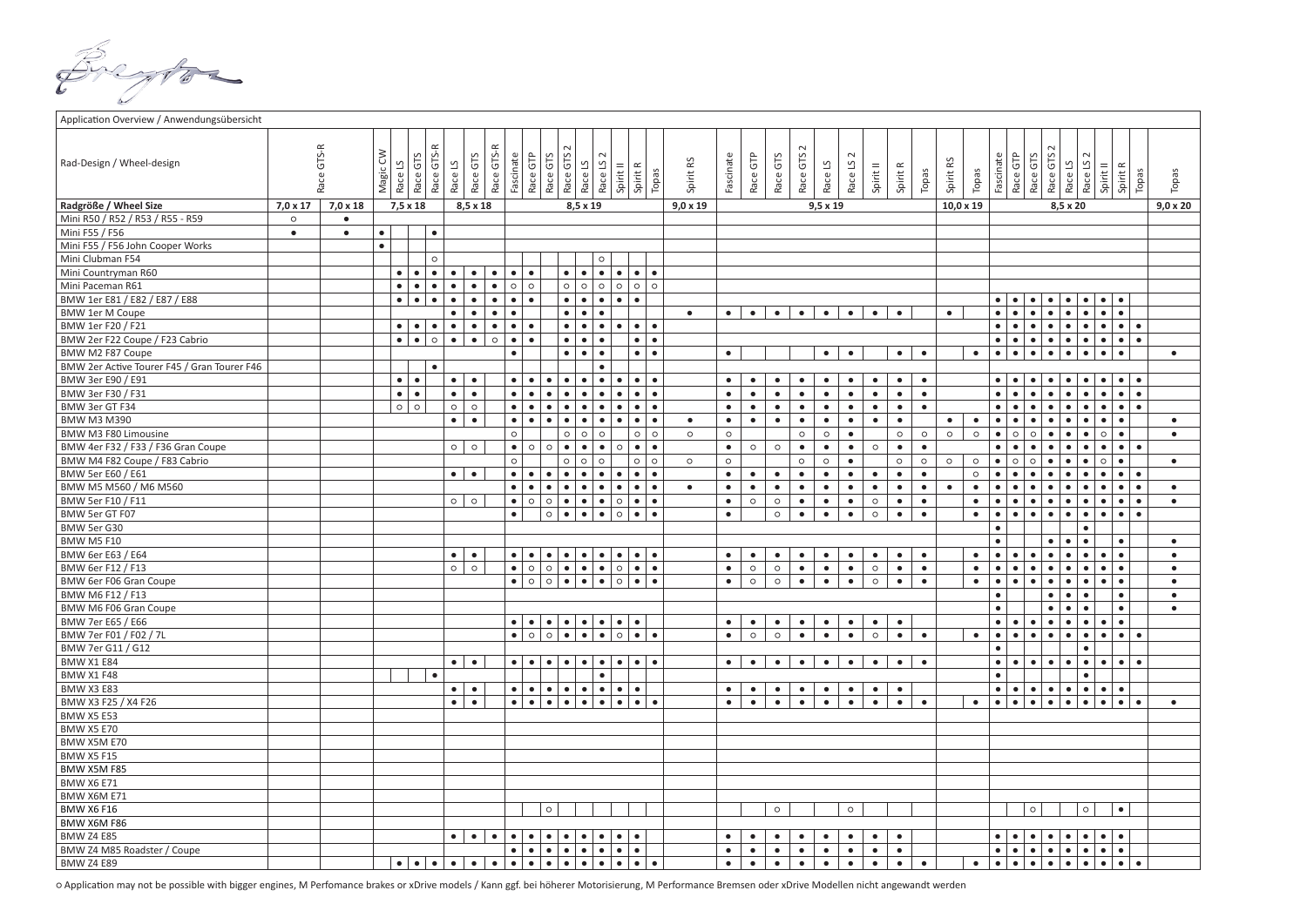Application

| Application Overview / Anwendungsübersicht  |                 |            |           |                       |                                       |           |               |            |                                   |                      |            |                                   |                      |                                |           |           |                 |           |           |           |                       |           |                      |           |           |           |                  |           |           |                        |                                   |                               |                                |                        |                        |                 |
|---------------------------------------------|-----------------|------------|-----------|-----------------------|---------------------------------------|-----------|---------------|------------|-----------------------------------|----------------------|------------|-----------------------------------|----------------------|--------------------------------|-----------|-----------|-----------------|-----------|-----------|-----------|-----------------------|-----------|----------------------|-----------|-----------|-----------|------------------|-----------|-----------|------------------------|-----------------------------------|-------------------------------|--------------------------------|------------------------|------------------------|-----------------|
| Rad-Design / Wheel-design                   |                 | Race GTS-R | Magic CW  | Race LS               | Race GTS-R<br>Race GTS                | Race LS   | GTS<br>Race ( | Race GTS-R | Fascinate                         | Race GTP<br>Race GTS | Race GTS 2 | Race LS                           | Race LS <sub>2</sub> | Spirit <sub>II</sub>           | Spirit R  | Topas     | Spirit RS       | Fascinate | Race GTP  | Race GTS  | Race GTS <sub>2</sub> | Race LS   | Race LS <sub>2</sub> | Spirit II | Spirit R  | Topas     | Spirit RS        | Topas     | Fascinate | Race GTP               | Race GTS <sub>2</sub><br>Race GTS | Race LS                       | Race LS <sub>2</sub>           | Spirit II              | Spirit R<br>Topas      | Topas           |
| Radgröße / Wheel Size                       | $7.0 \times 17$ | 7,0 x 18   |           | $7,5 \times 18$       |                                       |           | 8,5 x 18      |            |                                   |                      |            | 8,5 x 19                          |                      |                                |           |           | $9,0 \times 19$ |           |           |           |                       | 9,5 x 19  |                      |           |           |           | $10,0 \times 19$ |           |           |                        |                                   | 8,5 x 20                      |                                |                        |                        | $9.0 \times 20$ |
| Mini R50 / R52 / R53 / R55 - R59            | $\circ$         | $\bullet$  |           |                       |                                       |           |               |            |                                   |                      |            |                                   |                      |                                |           |           |                 |           |           |           |                       |           |                      |           |           |           |                  |           |           |                        |                                   |                               |                                |                        |                        |                 |
| Mini F55 / F56                              | $\bullet$       | $\bullet$  | $\bullet$ |                       | $\bullet$                             |           |               |            |                                   |                      |            |                                   |                      |                                |           |           |                 |           |           |           |                       |           |                      |           |           |           |                  |           |           |                        |                                   |                               |                                |                        |                        |                 |
| Mini F55 / F56 John Cooper Works            |                 |            | $\bullet$ |                       |                                       |           |               |            |                                   |                      |            |                                   |                      |                                |           |           |                 |           |           |           |                       |           |                      |           |           |           |                  |           |           |                        |                                   |                               |                                |                        |                        |                 |
| Mini Clubman F54                            |                 |            |           |                       | $\circ$                               |           |               |            |                                   |                      |            |                                   | $\circ$              |                                |           |           |                 |           |           |           |                       |           |                      |           |           |           |                  |           |           |                        |                                   |                               |                                |                        |                        |                 |
| Mini Countryman R60                         |                 |            |           | $\bullet$             | $\bullet$<br>$\bullet$                | $\bullet$ | $\bullet$     | $\bullet$  | $\bullet$<br>$\bullet$            |                      |            | $\bullet$<br>$\bullet$            | $\bullet$            | $\bullet\bullet\bullet$        |           | $\bullet$ |                 |           |           |           |                       |           |                      |           |           |           |                  |           |           |                        |                                   |                               |                                |                        |                        |                 |
| Mini Paceman R61                            |                 |            |           | $\bullet$             | $\bullet$<br>$\bullet$                | $\bullet$ | $\bullet$     | $\bullet$  | $\circ$<br>$\circ$                |                      | $\circ$    | $\circ$                           | $\circ$              | $\circ$                        | $\circ$   | $\circ$   |                 |           |           |           |                       |           |                      |           |           |           |                  |           |           |                        |                                   |                               |                                |                        |                        |                 |
| BMW 1er E81 / E82 / E87 / E88               |                 |            |           | $\bullet$             | $\bullet$<br>$\bullet$                | $\bullet$ | $\bullet$     | $\bullet$  | $\bullet$<br>$\bullet$            |                      | $\bullet$  | $\bullet$                         | $\bullet$            | $\bullet$                      | $\bullet$ |           |                 |           |           |           |                       |           |                      |           |           |           |                  |           | $\bullet$ | $\bullet$<br>$\bullet$ | $\bullet$                         | $\bullet$                     | $\bullet$                      | $\bullet$<br>$\bullet$ |                        |                 |
| <b>BMW 1er M Coupe</b>                      |                 |            |           |                       |                                       | $\bullet$ | $\bullet$     | $\bullet$  | $\bullet$                         |                      | $\bullet$  | $\bullet$                         | $\bullet$            |                                |           |           | $\bullet$       | $\bullet$ | $\bullet$ | $\bullet$ | $\bullet$             | $\bullet$ | $\bullet$            | $\bullet$ | $\bullet$ |           | $\bullet$        |           | $\bullet$ | $\bullet$              | $\bullet$                         | $\bullet$                     | $\bullet$                      | $\bullet$<br>$\bullet$ |                        |                 |
| BMW 1er F20 / F21                           |                 |            |           | $\bullet\quad\bullet$ | $\bullet$                             | $\bullet$ | $\bullet$     | $\bullet$  | $\bullet$<br>$\bullet$            |                      | $\bullet$  | $\bullet$                         | $\bullet$            | $\bullet$                      | $\bullet$ | $\bullet$ |                 |           |           |           |                       |           |                      |           |           |           |                  |           | $\bullet$ | $\bullet$              | $\bullet$                         | $\bullet$                     | $\bullet$                      | $\bullet$<br>$\bullet$ | $\bullet$              |                 |
| BMW 2er F22 Coupe / F23 Cabrio              |                 |            |           | $\bullet$             | $\bullet$<br>$\circ$                  | $\bullet$ | $\bullet$     | $\circ$    | $\bullet$<br>$\bullet$            |                      | $\bullet$  | $\bullet$                         | $\bullet$            |                                | $\bullet$ | $\bullet$ |                 |           |           |           |                       |           |                      |           |           |           |                  |           | $\bullet$ | $\bullet$              | $\bullet$<br>$\bullet$            | $\bullet$                     | $\bullet$                      | $\bullet$<br>$\bullet$ | $\bullet$              |                 |
| BMW M2 F87 Coupe                            |                 |            |           |                       |                                       |           |               |            | $\bullet$                         |                      | $\bullet$  | $\bullet$                         | $\bullet$            |                                | $\bullet$ | $\bullet$ |                 | $\bullet$ |           |           |                       | $\bullet$ | $\bullet$            |           | $\bullet$ | $\bullet$ |                  | $\bullet$ | $\bullet$ | $\bullet$              | $\bullet$<br>$\bullet$            | $\bullet$                     | $\bullet$                      | $\bullet$<br>$\bullet$ |                        | $\bullet$       |
| BMW 2er Active Tourer F45 / Gran Tourer F46 |                 |            |           |                       | $\bullet$                             |           |               |            |                                   |                      |            |                                   | $\bullet$            |                                |           |           |                 |           |           |           |                       |           |                      |           |           |           |                  |           |           |                        |                                   |                               |                                |                        |                        |                 |
| BMW 3er E90 / E91                           |                 |            |           | $\bullet$             | $\bullet$                             | $\bullet$ | $\bullet$     |            | $\bullet$<br>$\bullet$            | $\bullet$            | $\bullet$  | $\bullet$                         | $\bullet$            | $\bullet$                      | $\bullet$ | $\bullet$ |                 | $\bullet$ | $\bullet$ | $\bullet$ | $\bullet$             | $\bullet$ | $\bullet$            | $\bullet$ | $\bullet$ | $\bullet$ |                  |           | $\bullet$ | $\bullet$              | $\bullet$                         | $\bullet$                     | $\bullet$                      | $\bullet$              | $\bullet$<br>$\bullet$ |                 |
| BMW 3er F30 / F31                           |                 |            |           | $\bullet$             | $\bullet$                             | $\bullet$ | $\bullet$     |            | $\bullet$<br>$\bullet$            | $\bullet$            | $\bullet$  | $\bullet$                         | $\bullet$            | $\bullet$                      | $\bullet$ | $\bullet$ |                 | $\bullet$ | $\bullet$ | $\bullet$ | $\bullet$             | $\bullet$ | $\bullet$            | $\bullet$ | $\bullet$ | $\bullet$ |                  |           | $\bullet$ |                        | $\bullet$                         | $\bullet$                     | $\bullet$                      | $\bullet$<br>$\bullet$ | $\bullet$              |                 |
| BMW 3er GT F34                              |                 |            |           | $\circ$ $\circ$       |                                       | $\circ$   | $\circ$       |            | $\bullet$<br>$\bullet$            | $\bullet$            | $\bullet$  | $\bullet$                         | $\bullet$            | $\bullet$                      | $\bullet$ | $\bullet$ |                 | $\bullet$ | $\bullet$ | $\bullet$ | $\bullet$             | $\bullet$ | $\bullet$            | $\bullet$ | $\bullet$ | $\bullet$ |                  |           | $\bullet$ | $\bullet$              | $\bullet$                         | $\bullet$                     | $\bullet$                      | $\bullet$<br>$\bullet$ | $\bullet$              |                 |
| <b>BMW M3 M390</b>                          |                 |            |           |                       |                                       | $\bullet$ | $\bullet$     |            | $\bullet$<br>$\bullet$            | $\bullet$            | $\bullet$  | $\bullet$                         | $\bullet$            | $\bullet$                      | $\bullet$ | $\bullet$ | $\bullet$       | $\bullet$ | $\bullet$ | $\bullet$ | $\bullet$             | $\bullet$ | $\bullet$            | $\bullet$ | $\bullet$ |           | $\bullet$        | $\bullet$ | $\bullet$ | $\bullet$<br>$\bullet$ | $\bullet$                         | $\bullet$                     |                                | $\bullet$<br>$\bullet$ |                        | $\bullet$       |
| BMW M3 F80 Limousine                        |                 |            |           |                       |                                       |           |               |            | $\circ$                           |                      | $\circ$    | $\circ$                           | $\circ$              |                                | $\circ$   | $\circ$   | $\circ$         | $\circ$   |           |           | $\circ$               | $\circ$   | $\bullet$            |           | $\circ$   | $\circ$   | $\circ$          | $\circ$   | $\bullet$ | $\circ$<br>$\circ$     | $\bullet$                         | $\bullet$                     | $\bullet$                      | $\circ$<br>$\bullet$   |                        | $\bullet$       |
| BMW 4er F32 / F33 / F36 Gran Coupe          |                 |            |           |                       |                                       |           | $\circ$ 0     |            | $\bullet$ 0 0                     |                      | $\bullet$  | $\bullet$                         | $\bullet$            | $\circ$                        | $\bullet$ | $\bullet$ |                 | $\bullet$ | $\circ$   | $\circ$   | $\bullet$             | $\bullet$ | $\bullet$            | $\circ$   | $\bullet$ | $\bullet$ |                  |           | $\bullet$ | $\bullet$<br>$\bullet$ | $\bullet$                         | $\bullet$                     | $\bullet$                      | $\bullet$<br>$\bullet$ | $\bullet$              |                 |
| BMW M4 F82 Coupe / F83 Cabrio               |                 |            |           |                       |                                       |           |               |            | $\circ$                           |                      | $\circ$    | $\circ$                           | $\circ$              |                                | $\circ$   | $\circ$   | $\circ$         | $\circ$   |           |           | $\circ$               | $\circ$   | $\bullet$            |           | $\circ$   | $\circ$   | $\circ$          | $\circ$   | $\bullet$ | $\circ$<br>$\circ$     | $\bullet$                         | $\bullet$                     | $\bullet$                      | $\circ$<br>$\bullet$   |                        | $\bullet$       |
| BMW 5er E60 / E61                           |                 |            |           |                       |                                       | $\bullet$ | $\bullet$     |            | $\bullet$<br>$\bullet$            | $\bullet$            | $\bullet$  | $\bullet$                         | $\bullet$            | $\bullet$                      | $\bullet$ | $\bullet$ |                 | $\bullet$ | $\bullet$ | $\bullet$ | $\bullet$             | $\bullet$ | $\bullet$            | $\bullet$ | $\bullet$ | $\bullet$ |                  | $\circ$   | $\bullet$ |                        | $\bullet$                         | $\bullet$                     |                                | $\bullet$<br>$\bullet$ | $\bullet$              |                 |
| BMW M5 M560 / M6 M560                       |                 |            |           |                       |                                       |           |               |            | $\bullet$<br>$\bullet$            | $\bullet$            | $\bullet$  | $\bullet$                         | $\bullet$            | $\bullet$                      | $\bullet$ | $\bullet$ | $\bullet$       | $\bullet$ | $\bullet$ | $\bullet$ | $\bullet$             | $\bullet$ | $\bullet$            | $\bullet$ | $\bullet$ | $\bullet$ | $\bullet$        | $\bullet$ | $\bullet$ | $\bullet$              | $\bullet$                         | $\bullet$                     | $\bullet$                      | $\bullet$<br>$\bullet$ | $\bullet$              | $\bullet$       |
| BMW 5er F10 / F11                           |                 |            |           |                       |                                       | $\circ$   | $\circ$       |            | $\circ$<br>$\bullet$              |                      |            | $\circ \bullet \bullet$           | $\bullet$            | $\circ$                        | $\bullet$ | $\bullet$ |                 | $\bullet$ | $\circ$   | $\circ$   | $\bullet$             | $\bullet$ | $\bullet$            | $\circ$   | $\bullet$ | $\bullet$ |                  | $\bullet$ | $\bullet$ | $\bullet$<br>$\bullet$ | $\bullet$                         | $\bullet$                     | $\bullet$                      | $\bullet$<br>$\bullet$ | $\bullet$              | $\bullet$       |
| BMW 5er GT F07                              |                 |            |           |                       |                                       |           |               |            | $\bullet$                         | $\circ$              | $\bullet$  | $\bullet$                         | $\bullet$            | $\circ\bullet$                 |           | $\bullet$ |                 | $\bullet$ |           | $\circ$   | $\bullet$             | $\bullet$ | $\bullet$            | $\circ$   | $\bullet$ | $\bullet$ |                  | $\bullet$ | $\bullet$ | $\bullet$<br>$\bullet$ | $\bullet$                         | $\bullet$                     | $\bullet$                      | $\bullet$<br>$\bullet$ | $\bullet$              |                 |
| BMW 5er G30                                 |                 |            |           |                       |                                       |           |               |            |                                   |                      |            |                                   |                      |                                |           |           |                 |           |           |           |                       |           |                      |           |           |           |                  |           | $\bullet$ |                        |                                   |                               | $\bullet$                      |                        |                        |                 |
| <b>BMW M5 F10</b>                           |                 |            |           |                       |                                       |           |               |            |                                   |                      |            |                                   |                      |                                |           |           |                 |           |           |           |                       |           |                      |           |           |           |                  |           | $\bullet$ |                        | $\bullet$                         | $\bullet$                     | $\bullet$                      | $\bullet$              |                        | $\bullet$       |
| BMW 6er E63 / E64                           |                 |            |           |                       |                                       | $\bullet$ | $\bullet$     |            | $\bullet\quad\bullet$             | $\bullet$            | $\bullet$  | $\bullet$                         | $\bullet$            | $\bullet\bullet\bullet\bullet$ |           |           |                 | $\bullet$ | $\bullet$ | $\bullet$ | $\bullet$             | $\bullet$ | $\bullet$            | $\bullet$ | $\bullet$ | $\bullet$ |                  | $\bullet$ | $\bullet$ | $\bullet$<br>$\bullet$ | $\bullet$                         | $\bullet$                     | $\bullet$                      | $\bullet$<br>$\bullet$ |                        | $\bullet$       |
| BMW 6er F12 / F13                           |                 |            |           |                       |                                       | $\circ$   | $\circ$       |            | $\bullet$ 0 0 $\bullet$           |                      |            | $\bullet$                         | $\bullet$            | $\circ\bullet$                 |           | $\bullet$ |                 | $\bullet$ | $\circ$   | $\circ$   | $\bullet$             | $\bullet$ | $\bullet$            | $\circ$   | $\bullet$ | $\bullet$ |                  | $\bullet$ | $\bullet$ | $\bullet$<br>$\bullet$ | $\bullet$                         | $\bullet$                     | $\bullet$                      | $\bullet$<br>$\bullet$ |                        | $\bullet$       |
| BMW 6er F06 Gran Coupe                      |                 |            |           |                       |                                       |           |               |            |                                   |                      |            | $\bullet$ 0 0 $\bullet$ $\bullet$ | $\bullet$            | $\circ\bullet$                 |           | $\bullet$ |                 | $\bullet$ | $\circ$   | $\circ$   | $\bullet$             | $\bullet$ | $\bullet$            | $\circ$   | $\bullet$ | $\bullet$ |                  | $\bullet$ | $\bullet$ | $\bullet$<br>$\bullet$ | $\bullet$                         | $\bullet$                     | $\bullet$                      | $\bullet$<br>$\bullet$ |                        | $\bullet$       |
| BMW M6 F12 / F13                            |                 |            |           |                       |                                       |           |               |            |                                   |                      |            |                                   |                      |                                |           |           |                 |           |           |           |                       |           |                      |           |           |           |                  |           | $\bullet$ |                        | $\bullet$                         | $\bullet$                     | $\bullet$                      | $\bullet$              |                        | $\bullet$       |
| BMW M6 F06 Gran Coupe                       |                 |            |           |                       |                                       |           |               |            |                                   |                      |            |                                   |                      |                                |           |           |                 |           |           |           |                       |           |                      |           |           |           |                  |           | $\bullet$ |                        | $\bullet$                         | $\bullet$                     | $\bullet$                      | $\bullet$              |                        | $\bullet$       |
| BMW 7er E65 / E66                           |                 |            |           |                       |                                       |           |               |            | $\bullet\quad\bullet$             | $\bullet$            |            | $\bullet\quadbullet\quad$         | $\bullet$            | $\bullet\quad\bullet$          |           |           |                 | $\bullet$ | $\bullet$ | $\bullet$ | $\bullet$             | $\bullet$ | $\bullet$            | $\bullet$ | $\bullet$ |           |                  |           | $\bullet$ | $\bullet$<br>$\bullet$ | $\bullet$                         | $\bullet$                     | $\bullet$                      | $\bullet$<br>$\bullet$ |                        |                 |
| BMW 7er F01 / F02 / 7L                      |                 |            |           |                       |                                       |           |               |            | $\bullet$ 0 0                     |                      | $\bullet$  | $\bullet$                         | $\bullet$            | $\circ$ $\bullet$              |           | $\bullet$ |                 | $\bullet$ | $\circ$   | $\circ$   | $\bullet$             | $\bullet$ | $\bullet$            | $\circ$   | $\bullet$ | $\bullet$ |                  | $\bullet$ | $\bullet$ | $\bullet$              | $\bullet$                         | $\bullet$                     | $\bullet$                      | $\bullet$<br>$\bullet$ | $\bullet$              |                 |
| BMW 7er G11 / G12                           |                 |            |           |                       |                                       |           |               |            |                                   |                      |            |                                   |                      |                                |           |           |                 |           |           |           |                       |           |                      |           |           |           |                  |           | $\bullet$ |                        |                                   |                               | $\bullet$                      |                        |                        |                 |
| <b>BMW X1 E84</b>                           |                 |            |           |                       |                                       | $\bullet$ | $\bullet$     |            | $\bullet$ $\bullet$               | $\bullet$            | $\bullet$  | $\bullet$                         | $\bullet$            | $\bullet\quad \bullet\quad$    |           | $\bullet$ |                 | $\bullet$ | $\bullet$ | $\bullet$ | $\bullet$             | $\bullet$ | $\bullet$            | $\bullet$ | $\bullet$ | $\bullet$ |                  |           | $\bullet$ | $\bullet$<br>$\bullet$ | $\bullet$                         | $\bullet$                     | $\bullet$                      | $\bullet$              | $\bullet$<br>$\bullet$ |                 |
| <b>BMW X1 F48</b>                           |                 |            |           |                       | $\bullet$                             |           |               |            |                                   |                      |            |                                   | $\bullet$            |                                |           |           |                 |           |           |           |                       |           |                      |           |           |           |                  |           | $\bullet$ |                        |                                   |                               | $\bullet$                      |                        |                        |                 |
| <b>BMW X3 E83</b>                           |                 |            |           |                       |                                       | $\bullet$ | $\bullet$     |            |                                   |                      |            | $\bullet$                         | $\bullet$            | $\bullet$ $\bullet$            |           |           |                 | $\bullet$ | $\bullet$ | $\bullet$ | $\bullet$             | $\bullet$ | $\bullet$            | $\bullet$ | $\bullet$ |           |                  |           | $\bullet$ | $\bullet$<br>$\bullet$ | $\bullet$                         |                               | $\bullet\bullet\bullet\bullet$ | $\bullet$              |                        |                 |
| BMW X3 F25 / X4 F26                         |                 |            |           |                       |                                       | $\bullet$ | $\bullet$     |            |                                   |                      |            |                                   | $\bullet$            | $\bullet\quad \bullet$         |           | $\bullet$ |                 | $\bullet$ | $\bullet$ | $\bullet$ | $\bullet$             | $\bullet$ | $\bullet$            | $\bullet$ | $\bullet$ | $\bullet$ |                  | $\bullet$ | $\bullet$ | $\bullet$              | $\bullet$ $\bullet$               | $\bullet$                     | $\bullet$                      | $\bullet$<br>$\bullet$ | $\bullet$              | $\bullet$       |
| <b>BMW X5 E53</b>                           |                 |            |           |                       |                                       |           |               |            |                                   |                      |            |                                   |                      |                                |           |           |                 |           |           |           |                       |           |                      |           |           |           |                  |           |           |                        |                                   |                               |                                |                        |                        |                 |
| <b>BMW X5 E70</b>                           |                 |            |           |                       |                                       |           |               |            |                                   |                      |            |                                   |                      |                                |           |           |                 |           |           |           |                       |           |                      |           |           |           |                  |           |           |                        |                                   |                               |                                |                        |                        |                 |
| BMW X5M E70                                 |                 |            |           |                       |                                       |           |               |            |                                   |                      |            |                                   |                      |                                |           |           |                 |           |           |           |                       |           |                      |           |           |           |                  |           |           |                        |                                   |                               |                                |                        |                        |                 |
| <b>BMW X5 F15</b>                           |                 |            |           |                       |                                       |           |               |            |                                   |                      |            |                                   |                      |                                |           |           |                 |           |           |           |                       |           |                      |           |           |           |                  |           |           |                        |                                   |                               |                                |                        |                        |                 |
| BMW X5M F85                                 |                 |            |           |                       |                                       |           |               |            |                                   |                      |            |                                   |                      |                                |           |           |                 |           |           |           |                       |           |                      |           |           |           |                  |           |           |                        |                                   |                               |                                |                        |                        |                 |
| <b>BMW X6 E71</b>                           |                 |            |           |                       |                                       |           |               |            |                                   |                      |            |                                   |                      |                                |           |           |                 |           |           |           |                       |           |                      |           |           |           |                  |           |           |                        |                                   |                               |                                |                        |                        |                 |
| BMW X6M E71                                 |                 |            |           |                       |                                       |           |               |            |                                   |                      |            |                                   |                      |                                |           |           |                 |           |           |           |                       |           |                      |           |           |           |                  |           |           |                        |                                   |                               |                                |                        |                        |                 |
| <b>BMW X6 F16</b>                           |                 |            |           |                       |                                       |           |               |            |                                   | $\circ$              |            |                                   |                      |                                |           |           |                 |           |           | $\circ$   |                       |           | $\circ$              |           |           |           |                  |           |           | $\circ$                |                                   |                               | $\circ$                        | $\bullet$              |                        |                 |
| BMW X6M F86                                 |                 |            |           |                       |                                       |           |               |            |                                   |                      |            |                                   |                      |                                |           |           |                 |           |           |           |                       |           |                      |           |           |           |                  |           |           |                        |                                   |                               |                                |                        |                        |                 |
| <b>BMW Z4 E85</b>                           |                 |            |           |                       |                                       | $\bullet$ | $\bullet$     | $\bullet$  | $\bullet$<br>$\bullet$            | $\bullet$            | $\bullet$  | $\bullet$                         | $\bullet$            | $\bullet\quadbullet$           |           |           |                 | $\bullet$ |           | $\bullet$ | $\bullet$             | $\bullet$ | $\bullet$            | $\bullet$ | $\bullet$ |           |                  |           | $\bullet$ | $\bullet$<br>$\bullet$ | $\bullet$                         | $\bullet$                     | $\bullet$                      | $\bullet$<br>$\bullet$ |                        |                 |
| BMW Z4 M85 Roadster / Coupe                 |                 |            |           |                       |                                       |           |               |            | $\bullet$<br>$\bullet$            | $\bullet$            | $\bullet$  | $\bullet$                         | $\bullet$            | $\bullet\quad\bullet$          |           |           |                 | $\bullet$ | $\bullet$ | $\bullet$ | $\bullet$             | $\bullet$ | $\bullet$            | $\bullet$ | $\bullet$ |           |                  |           | $\bullet$ | $\bullet$<br>$\bullet$ | $\bullet$                         | $\bullet$                     | $\bullet$                      | $\bullet$<br>$\bullet$ |                        |                 |
| <b>BMW Z4 E89</b>                           |                 |            |           |                       | $\bullet\bullet\bullet\bullet\bullet$ | $\bullet$ | ∣• ∣          |            | $\bullet \bullet \bullet \bullet$ |                      |            |                                   | $\bullet$            | $\bullet\quad\bullet$          |           | $\bullet$ |                 | $\bullet$ | $\bullet$ | $\bullet$ | $\bullet$             | $\bullet$ | $\bullet$            | $\bullet$ | $\bullet$ | $\bullet$ |                  | $\bullet$ | $\bullet$ |                        |                                   | $\bullet$ $\bullet$ $\bullet$ |                                | $\bullet$<br>$\bullet$ | $\bullet$              |                 |

o Application may not be possible with bigger engines, M Perfomance brakes or xDrive models / Kann ggf. bei höherer Motorisierung, M Performance Bremsen oder xDrive Modellen nicht angewandt werden